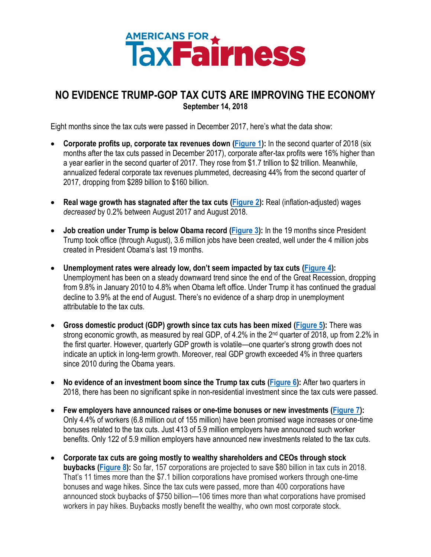# **AMERICANS FOR A TENDESS**

# <span id="page-0-1"></span><span id="page-0-0"></span>**NO EVIDENCE TRUMP-GOP TAX CUTS ARE IMPROVING THE ECONOMY September 14, 2018**

Eight months since the tax cuts were passed in December 2017, here's what the data show:

- **Corporate profits up, corporate tax revenues down [\(Figure 1\)](#page-1-0):** In the second quarter of 2018 (six months after the tax cuts passed in December 2017), corporate after-tax profits were 16% higher than a year earlier in the second quarter of 2017. They rose from \$1.7 trillion to \$2 trillion. Meanwhile, annualized federal corporate tax revenues plummeted, decreasing 44% from the second quarter of 2017, dropping from \$289 billion to \$160 billion.
- **Real wage growth has stagnated after the tax cuts [\(Figure 2\)](#page-1-1):** Real (inflation-adjusted) wages *decreased* by 0.2% between August 2017 and August 2018.
- **Job creation under Trump is below Obama record [\(Figure 3\)](#page-2-0):** In the 19 months since President Trump took office (through August), 3.6 million jobs have been created, well under the 4 million jobs created in President Obama's last 19 months.
- **Unemployment rates were already low, don't seem impacted by tax cuts [\(Figure 4\)](#page-2-1):**  Unemployment has been on a steady downward trend since the end of the Great Recession, dropping from 9.8% in January 2010 to 4.8% when Obama left office. Under Trump it has continued the gradual decline to 3.9% at the end of August. There's no evidence of a sharp drop in unemployment attributable to the tax cuts.
- **Gross domestic product (GDP) growth since tax cuts has been mixed [\(Figure 5\)](#page-2-2):** There was strong economic growth, as measured by real GDP, of 4.2% in the 2<sup>nd</sup> quarter of 2018, up from 2.2% in the first quarter. However, quarterly GDP growth is volatile—one quarter's strong growth [does not](https://www.nytimes.com/2018/07/28/opinion/why-one-quarters-growth-tells-us-nothing.html)  [indicate](https://www.nytimes.com/2018/07/28/opinion/why-one-quarters-growth-tells-us-nothing.html) an uptick in long-term growth. Moreover, real GDP growth exceeded 4% in three quarters since 2010 during the Obama years.
- **No evidence of an investment boom since the Trump tax cuts [\(Figure 6\)](#page-3-0):** After two quarters in 2018, there has been no significant spike in non-residential investment since the tax cuts were passed.
- **Few employers have announced raises or one-time bonuses or new investments [\(Figure 7\)](#page-4-0):**  Only [4.4% of workers](https://americansfortaxfairness.org/key-facts-american-corporations-really-trump-tax-cuts/) (6.8 million out of 155 million) have been promised wage increases or one-time bonuses related to the tax cuts. Just 413 of 5.9 million employers have announced such worker benefits. Only 122 of 5.9 million employers have announced new investments related to the tax cuts.
- **Corporate tax cuts are going mostly to wealthy shareholders and CEOs through stock buybacks [\(Figure 8\)](#page-4-1):** So far, 157 corporations are projected to save \$80 [billion in tax cuts](https://americansfortaxfairness.org/annual-corporate-tax-cuts/) in 2018. That's [11 times more than the \\$7.1](https://americansfortaxfairness.org/all-corporate-data/) billion corporations have promised workers through one-time bonuses and wage hikes. Since the tax cuts were passed, more than 400 corporations have announced stock buybacks of \$750 [billion](https://americansfortaxfairness.org/stock-buybacks/)—106 times more than what corporations have promised workers in pay hikes. Buybacks mostly [benefit the wealthy,](https://www.washingtonpost.com/news/wonk/wp/2017/12/18/for-roughly-half-of-americans-the-stock-markets-record-highs-dont-help-at-all/?utm_term=.1000b0128d92) who own most corporate stock.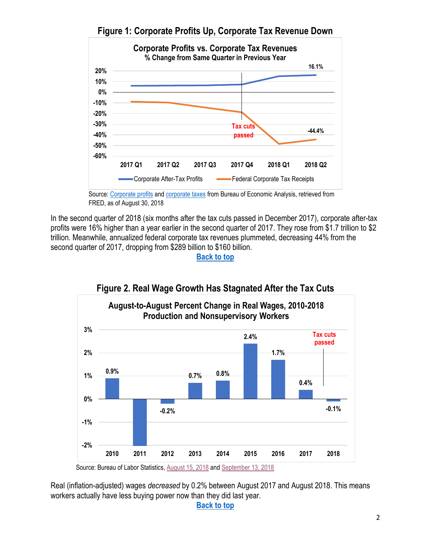<span id="page-1-0"></span>

**Figure 1: Corporate Profits Up, Corporate Tax Revenue Down**

Source[: Corporate profits](https://fred.stlouisfed.org/series/CPATAX#0) and [corporate taxes](https://fred.stlouisfed.org/series/B075RC1Q027SBEA) from Bureau of Economic Analysis, retrieved from FRED, as of August 30, 2018

In the second quarter of 2018 (six months after the tax cuts passed in December 2017), corporate after-tax profits were 16% higher than a year earlier in the second quarter of 2017. They rose from \$1.7 trillion to \$2 trillion. Meanwhile, annualized federal corporate tax revenues plummeted, decreasing 44% from the second quarter of 2017, dropping from \$289 billion to \$160 billion.

**[Back to top](#page-0-0)**

<span id="page-1-1"></span>

Real (inflation-adjusted) wages *decreased* by 0.2% between August 2017 and August 2018. This means workers actually have less buying power now than they did last year.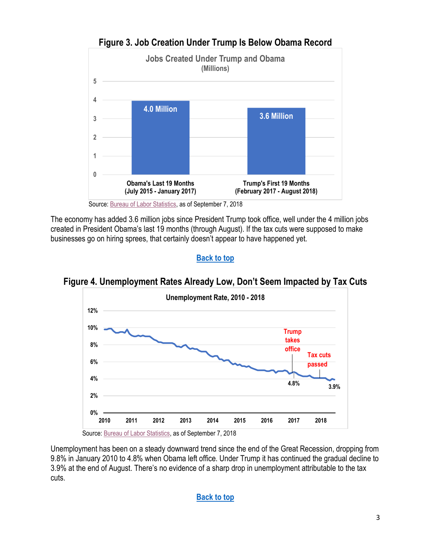<span id="page-2-0"></span>

The economy has added 3.6 million jobs since President Trump took office, well under the 4 million jobs created in President Obama's last 19 months (through August). If the tax cuts were supposed to make businesses go on hiring sprees, that certainly doesn't appear to have happened yet.

## **[Back to top](#page-0-0)**

<span id="page-2-1"></span>



<span id="page-2-2"></span>Unemployment has been on a steady downward trend since the end of the Great Recession, dropping from 9.8% in January 2010 to 4.8% when Obama left office. Under Trump it has continued the gradual decline to 3.9% at the end of August. There's no evidence of a sharp drop in unemployment attributable to the tax cuts.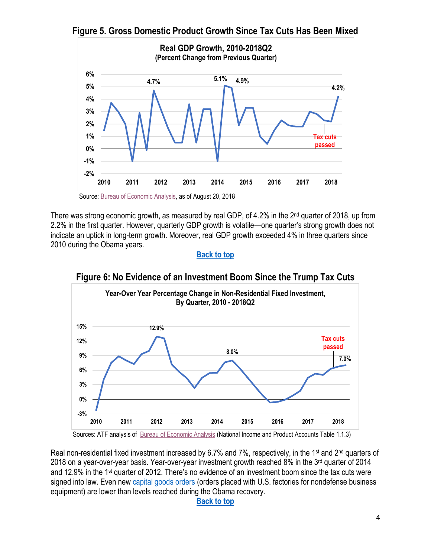

**Figure 5. Gross Domestic Product Growth Since Tax Cuts Has Been Mixed**

Source: [Bureau of Economic Analysis,](https://www.bea.gov/national/xls/gdpchg.xlsx) as of August 20, 2018

There was strong economic growth, as measured by real GDP, of 4.2% in the 2nd quarter of 2018, up from 2.2% in the first quarter. However, quarterly GDP growth is volatile—one quarter's strong growth [does not](https://www.nytimes.com/2018/07/28/opinion/why-one-quarters-growth-tells-us-nothing.html)  [indicate](https://www.nytimes.com/2018/07/28/opinion/why-one-quarters-growth-tells-us-nothing.html) an uptick in long-term growth. Moreover, real GDP growth exceeded 4% in three quarters since 2010 during the Obama years.

#### **[Back to top](#page-0-0)**

<span id="page-3-0"></span>

**Figure 6: No Evidence of an Investment Boom Since the Trump Tax Cuts**

Sources: ATF analysis of [Bureau of Economic Analysis](https://www.bea.gov/iTable/iTable.cfm?reqid=19&step=2#reqid=19&step=2&isuri=1&1921=survey) (National Income and Product Accounts Table 1.1.3)

Real non-residential fixed investment increased by 6.7% and 7%, respectively, in the 1<sup>st</sup> and 2<sup>nd</sup> quarters of 2018 on a year-over-year basis. Year-over-year investment growth reached 8% in the 3rd quarter of 2014 and 12.9% in the 1st quarter of 2012. There's no evidence of an investment boom since the tax cuts were signed into law. Even new [capital goods orders](http://cepr.net/blogs/beat-the-press/trump-tax-cut-leads-to-investment-boom-just-kidding) (orders placed with U.S. factories for nondefense business equipment) are lower than levels reached during the Obama recovery.